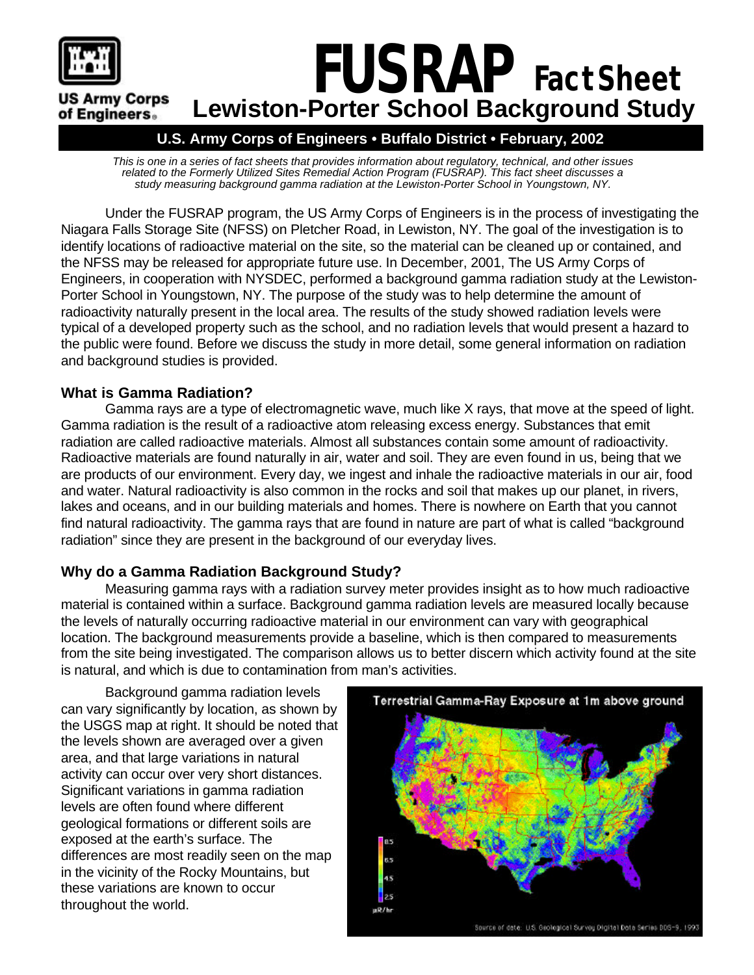

# *FUSRAP Fact Sheet* **US Army Corps Lewiston-Porter School Background Study** of Engineers.

## **U.S. Army Corps of Engineers • Buffalo District • February, 2002**

*This is one in a series of fact sheets that provides information about regulatory, technical, and other issues related to the Formerly Utilized Sites Remedial Action Program (FUSRAP). This fact sheet discusses a study measuring background gamma radiation at the Lewiston-Porter School in Youngstown, NY.*

Under the FUSRAP program, the US Army Corps of Engineers is in the process of investigating the Niagara Falls Storage Site (NFSS) on Pletcher Road, in Lewiston, NY. The goal of the investigation is to identify locations of radioactive material on the site, so the material can be cleaned up or contained, and the NFSS may be released for appropriate future use. In December, 2001, The US Army Corps of Engineers, in cooperation with NYSDEC, performed a background gamma radiation study at the Lewiston-Porter School in Youngstown, NY. The purpose of the study was to help determine the amount of radioactivity naturally present in the local area. The results of the study showed radiation levels were typical of a developed property such as the school, and no radiation levels that would present a hazard to the public were found. Before we discuss the study in more detail, some general information on radiation and background studies is provided.

## **What is Gamma Radiation?**

Gamma rays are a type of electromagnetic wave, much like X rays, that move at the speed of light. Gamma radiation is the result of a radioactive atom releasing excess energy. Substances that emit radiation are called radioactive materials. Almost all substances contain some amount of radioactivity. Radioactive materials are found naturally in air, water and soil. They are even found in us, being that we are products of our environment. Every day, we ingest and inhale the radioactive materials in our air, food and water. Natural radioactivity is also common in the rocks and soil that makes up our planet, in rivers, lakes and oceans, and in our building materials and homes. There is nowhere on Earth that you cannot find natural radioactivity. The gamma rays that are found in nature are part of what is called "background radiation" since they are present in the background of our everyday lives.

## **Why do a Gamma Radiation Background Study?**

Measuring gamma rays with a radiation survey meter provides insight as to how much radioactive material is contained within a surface. Background gamma radiation levels are measured locally because the levels of naturally occurring radioactive material in our environment can vary with geographical location. The background measurements provide a baseline, which is then compared to measurements from the site being investigated. The comparison allows us to better discern which activity found at the site is natural, and which is due to contamination from man's activities.

Background gamma radiation levels can vary significantly by location, as shown by the USGS map at right. It should be noted that the levels shown are averaged over a given area, and that large variations in natural activity can occur over very short distances. Significant variations in gamma radiation levels are often found where different geological formations or different soils are exposed at the earth's surface. The differences are most readily seen on the map in the vicinity of the Rocky Mountains, but these variations are known to occur throughout the world.